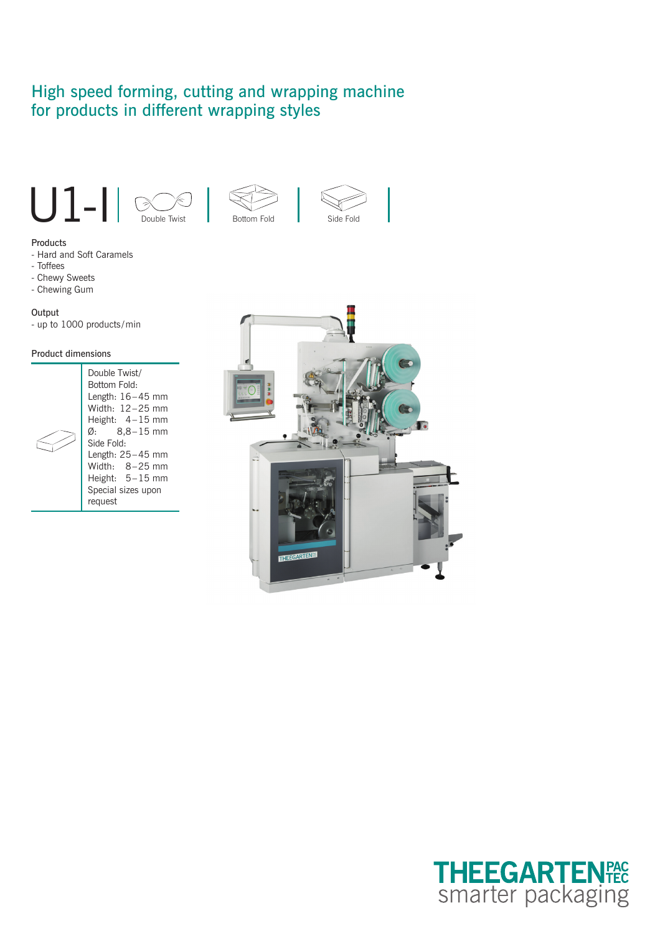# High speed forming, cutting and wrapping machine for products in different wrapping styles











- Hard and Soft Caramels
- Toffees
- Chewy Sweets
- Chewing Gum

#### **Output**

- up to 1000 products / min

#### Product dimensions

|  | Double Twist/<br>Bottom Fold:<br>Length: $16-45$ mm<br>Width: $12-25$ mm<br>Height: $4-15$ mm<br>$\varnothing$ : 8,8–15 mm<br>Side Fold:<br>Length: $25-45$ mm<br>Width: $8-25$ mm<br>Height: $5-15$ mm<br>Special sizes upon<br>request |
|--|------------------------------------------------------------------------------------------------------------------------------------------------------------------------------------------------------------------------------------------|
|--|------------------------------------------------------------------------------------------------------------------------------------------------------------------------------------------------------------------------------------------|